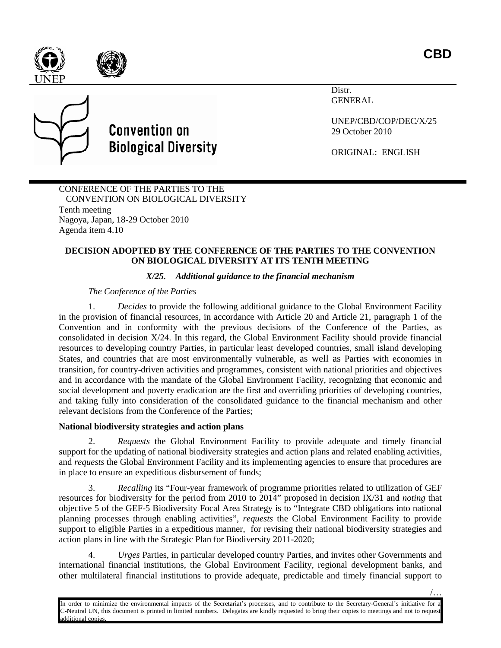/…





# **Convention on Biological Diversity**

Distr. GENERAL

UNEP/CBD/COP/DEC/X/25 29 October 2010

ORIGINAL: ENGLISH

CONFERENCE OF THE PARTIES TO THE CONVENTION ON BIOLOGICAL DIVERSITY Tenth meeting Nagoya, Japan, 18-29 October 2010 Agenda item 4.10

# **DECISION ADOPTED BY THE CONFERENCE OF THE PARTIES TO THE CONVENTION ON BIOLOGICAL DIVERSITY AT ITS TENTH MEETING**

# *X/25. Additional guidance to the financial mechanism*

*The Conference of the Parties*

1. *Decides* to provide the following additional guidance to the Global Environment Facility in the provision of financial resources, in accordance with Article 20 and Article 21, paragraph 1 of the Convention and in conformity with the previous decisions of the Conference of the Parties, as consolidated in decision X/24. In this regard, the Global Environment Facility should provide financial resources to developing country Parties, in particular least developed countries, small island developing States, and countries that are most environmentally vulnerable, as well as Parties with economies in transition, for country-driven activities and programmes, consistent with national priorities and objectives and in accordance with the mandate of the Global Environment Facility, recognizing that economic and social development and poverty eradication are the first and overriding priorities of developing countries, and taking fully into consideration of the consolidated guidance to the financial mechanism and other relevant decisions from the Conference of the Parties;

# **National biodiversity strategies and action plans**

2. *Requests* the Global Environment Facility to provide adequate and timely financial support for the updating of national biodiversity strategies and action plans and related enabling activities, and *requests* the Global Environment Facility and its implementing agencies to ensure that procedures are in place to ensure an expeditious disbursement of funds;

3. *Recalling* its "Four-year framework of programme priorities related to utilization of GEF resources for biodiversity for the period from 2010 to 2014" proposed in decision IX/31 and *noting* that objective 5 of the GEF-5 Biodiversity Focal Area Strategy is to "Integrate CBD obligations into national planning processes through enabling activities", *requests* the Global Environment Facility to provide support to eligible Parties in a expeditious manner, for revising their national biodiversity strategies and action plans in line with the Strategic Plan for Biodiversity 2011-2020;

4. *Urges* Parties, in particular developed country Parties, and invites other Governments and international financial institutions, the Global Environment Facility, regional development banks, and other multilateral financial institutions to provide adequate, predictable and timely financial support to

In order to minimize the environmental impacts of the Secretariat's processes, and to contribute to the Secretary-General's initiative for a C-Neutral UN, this document is printed in limited numbers. Delegates are kindly requested to bring their copies to meetings and not to request additional copies.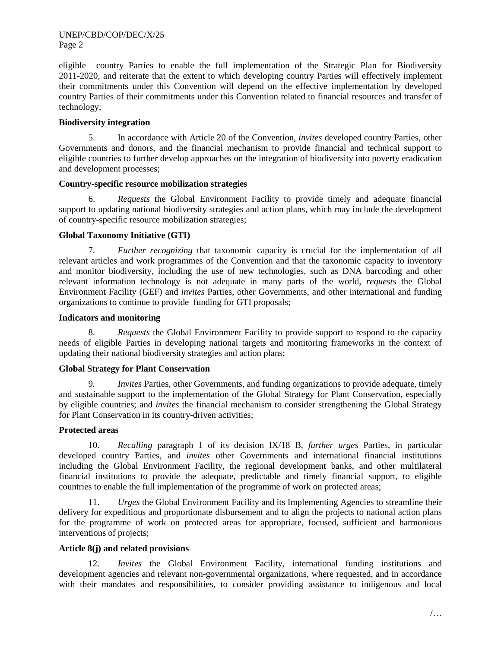UNEP/CBD/COP/DEC/X/25 Page 2

eligible country Parties to enable the full implementation of the Strategic Plan for Biodiversity 2011-2020, and reiterate that the extent to which developing country Parties will effectively implement their commitments under this Convention will depend on the effective implementation by developed country Parties of their commitments under this Convention related to financial resources and transfer of technology;

# **Biodiversity integration**

5. In accordance with Article 20 of the Convention, *invites* developed country Parties, other Governments and donors, and the financial mechanism to provide financial and technical support to eligible countries to further develop approaches on the integration of biodiversity into poverty eradication and development processes;

### **Country-specific resource mobilization strategies**

6. *Requests* the Global Environment Facility to provide timely and adequate financial support to updating national biodiversity strategies and action plans, which may include the development of country-specific resource mobilization strategies;

#### **Global Taxonomy Initiative (GTI)**

7. *Further recognizing* that taxonomic capacity is crucial for the implementation of all relevant articles and work programmes of the Convention and that the taxonomic capacity to inventory and monitor biodiversity, including the use of new technologies, such as DNA barcoding and other relevant information technology is not adequate in many parts of the world, *requests* the Global Environment Facility (GEF) and *invites* Parties, other Governments, and other international and funding organizations to continue to provide funding for GTI proposals;

### **Indicators and monitoring**

8. *Requests* the Global Environment Facility to provide support to respond to the capacity needs of eligible Parties in developing national targets and monitoring frameworks in the context of updating their national biodiversity strategies and action plans;

# **Global Strategy for Plant Conservation**

9*. Invites* Parties, other Governments, and funding organizations to provide adequate, timely and sustainable support to the implementation of the Global Strategy for Plant Conservation, especially by eligible countries; and *invites* the financial mechanism to consider strengthening the Global Strategy for Plant Conservation in its country-driven activities;

#### **Protected areas**

10. *Recalling* paragraph 1 of its decision IX/18 B, *further urges* Parties, in particular developed country Parties, and *invites* other Governments and international financial institutions including the Global Environment Facility, the regional development banks, and other multilateral financial institutions to provide the adequate, predictable and timely financial support, to eligible countries to enable the full implementation of the programme of work on protected areas;

11. *Urges* the Global Environment Facility and its Implementing Agencies to streamline their delivery for expeditious and proportionate disbursement and to align the projects to national action plans for the programme of work on protected areas for appropriate, focused, sufficient and harmonious interventions of projects;

# **Article 8(j) and related provisions**

12. *Invites* the Global Environment Facility, international funding institutions and development agencies and relevant non-governmental organizations, where requested, and in accordance with their mandates and responsibilities, to consider providing assistance to indigenous and local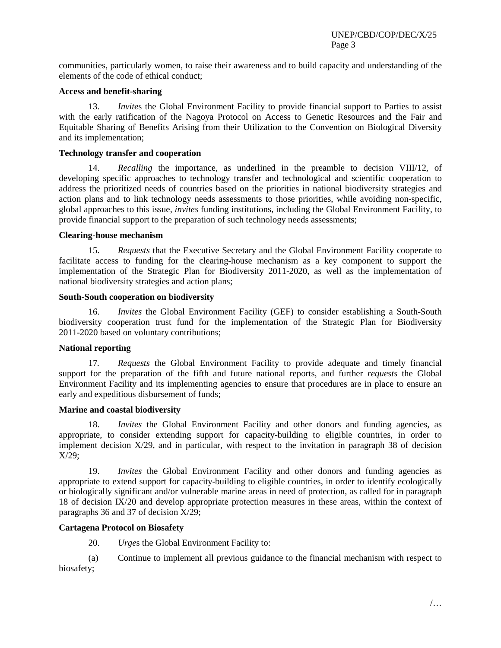communities, particularly women, to raise their awareness and to build capacity and understanding of the elements of the code of ethical conduct;

#### **Access and benefit-sharing**

13. *Invite*s the Global Environment Facility to provide financial support to Parties to assist with the early ratification of the Nagoya Protocol on Access to Genetic Resources and the Fair and Equitable Sharing of Benefits Arising from their Utilization to the Convention on Biological Diversity and its implementation;

# **Technology transfer and cooperation**

14. *Recalling* the importance, as underlined in the preamble to decision VIII/12, of developing specific approaches to technology transfer and technological and scientific cooperation to address the prioritized needs of countries based on the priorities in national biodiversity strategies and action plans and to link technology needs assessments to those priorities, while avoiding non-specific, global approaches to this issue, *invites* funding institutions, including the Global Environment Facility, to provide financial support to the preparation of such technology needs assessments;

#### **Clearing-house mechanism**

15. *Requests* that the Executive Secretary and the Global Environment Facility cooperate to facilitate access to funding for the clearing-house mechanism as a key component to support the implementation of the Strategic Plan for Biodiversity 2011-2020, as well as the implementation of national biodiversity strategies and action plans;

# **South-South cooperation on biodiversity**

16. *Invites* the Global Environment Facility (GEF) to consider establishing a South-South biodiversity cooperation trust fund for the implementation of the Strategic Plan for Biodiversity 2011-2020 based on voluntary contributions;

#### **National reporting**

17*. Requests* the Global Environment Facility to provide adequate and timely financial support for the preparation of the fifth and future national reports, and further *requests* the Global Environment Facility and its implementing agencies to ensure that procedures are in place to ensure an early and expeditious disbursement of funds;

#### **Marine and coastal biodiversity**

18. *Invites* the Global Environment Facility and other donors and funding agencies, as appropriate, to consider extending support for capacity-building to eligible countries, in order to implement decision X/29, and in particular, with respect to the invitation in paragraph 38 of decision X/29;

19. *Invites* the Global Environment Facility and other donors and funding agencies as appropriate to extend support for capacity-building to eligible countries, in order to identify ecologically or biologically significant and/or vulnerable marine areas in need of protection, as called for in paragraph 18 of decision IX/20 and develop appropriate protection measures in these areas, within the context of paragraphs 36 and 37 of decision X/29;

# **Cartagena Protocol on Biosafety**

20. *Urge*s the Global Environment Facility to:

(a) Continue to implement all previous guidance to the financial mechanism with respect to biosafety;